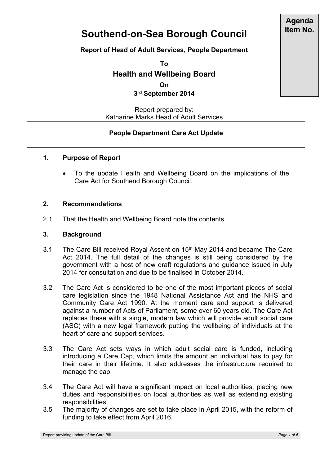# **Agenda Item No.**

# **Southend-on-Sea Borough Council**

**Report of Head of Adult Services, People Department**

**To Health and Wellbeing Board**

**On**

**3 rd September 2014**

Report prepared by: Katharine Marks Head of Adult Services

# **People Department Care Act Update**

# **1. Purpose of Report**

 To the update Health and Wellbeing Board on the implications of the Care Act for Southend Borough Council.

# **2. Recommendations**

2.1 That the Health and Wellbeing Board note the contents.

#### **3. Background**

- 3.1 The Care Bill received Royal Assent on 15<sup>th</sup> May 2014 and became The Care Act 2014. The full detail of the changes is still being considered by the government with a host of new draft regulations and guidance issued in July 2014 for consultation and due to be finalised in October 2014.
- 3.2 The Care Act is considered to be one of the most important pieces of social care legislation since the 1948 National Assistance Act and the NHS and Community Care Act 1990. At the moment care and support is delivered against a number of Acts of Parliament, some over 60 years old. The Care Act replaces these with a single, modern law which will provide adult social care (ASC) with a new legal framework putting the wellbeing of individuals at the heart of care and support services.
- 3.3 The Care Act sets ways in which adult social care is funded, including introducing a Care Cap, which limits the amount an individual has to pay for their care in their lifetime. It also addresses the infrastructure required to manage the cap.
- 3.4 The Care Act will have a significant impact on local authorities, placing new duties and responsibilities on local authorities as well as extending existing responsibilities.
- 3.5 The majority of changes are set to take place in April 2015, with the reform of funding to take effect from April 2016.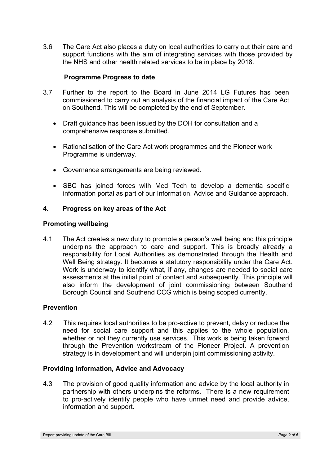3.6 The Care Act also places a duty on local authorities to carry out their care and support functions with the aim of integrating services with those provided by the NHS and other health related services to be in place by 2018.

#### **Programme Progress to date**

- 3.7 Further to the report to the Board in June 2014 LG Futures has been commissioned to carry out an analysis of the financial impact of the Care Act on Southend. This will be completed by the end of September.
	- Draft guidance has been issued by the DOH for consultation and a comprehensive response submitted.
	- Rationalisation of the Care Act work programmes and the Pioneer work Programme is underway.
	- Governance arrangements are being reviewed.
	- SBC has joined forces with Med Tech to develop a dementia specific information portal as part of our Information, Advice and Guidance approach.

#### **4. Progress on key areas of the Act**

#### **Promoting wellbeing**

4.1The Act creates a new duty to promote a person's well being and this principle underpins the approach to care and support. This is broadly already a responsibility for Local Authorities as demonstrated through the Health and Well Being strategy. It becomes a statutory responsibility under the Care Act. Work is underway to identify what, if any, changes are needed to social care assessments at the initial point of contact and subsequently. This principle will also inform the development of joint commissioning between Southend Borough Council and Southend CCG which is being scoped currently.

#### **Prevention**

4.2 This requires local authorities to be pro-active to prevent, delay or reduce the need for social care support and this applies to the whole population, whether or not they currently use services. This work is being taken forward through the Prevention workstream of the Pioneer Project. A prevention strategy is in development and will underpin joint commissioning activity.

#### **Providing Information, Advice and Advocacy**

4.3 The provision of good quality information and advice by the local authority in partnership with others underpins the reforms. There is a new requirement to pro-actively identify people who have unmet need and provide advice, information and support.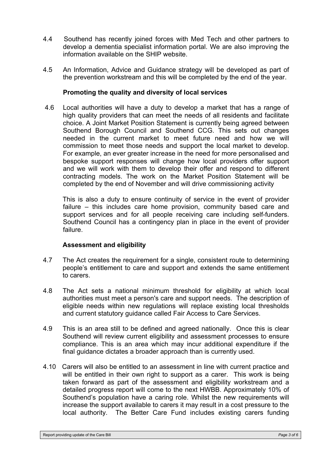- 4.4 Southend has recently joined forces with Med Tech and other partners to develop a dementia specialist information portal. We are also improving the information available on the SHIP website.
- 4.5 An Information, Advice and Guidance strategy will be developed as part of the prevention workstream and this will be completed by the end of the year.

## **Promoting the quality and diversity of local services**

4.6 Local authorities will have a duty to develop a market that has a range of high quality providers that can meet the needs of all residents and facilitate choice. A Joint Market Position Statement is currently being agreed between Southend Borough Council and Southend CCG. This sets out changes needed in the current market to meet future need and how we will commission to meet those needs and support the local market to develop. For example, an ever greater increase in the need for more personalised and bespoke support responses will change how local providers offer support and we will work with them to develop their offer and respond to different contracting models. The work on the Market Position Statement will be completed by the end of November and will drive commissioning activity

This is also a duty to ensure continuity of service in the event of provider failure – this includes care home provision, community based care and support services and for all people receiving care including self-funders. Southend Council has a contingency plan in place in the event of provider failure.

#### **Assessment and eligibility**

- 4.7 The Act creates the requirement for a single, consistent route to determining people's entitlement to care and support and extends the same entitlement to carers.
- 4.8 The Act sets a national minimum threshold for eligibility at which local authorities must meet a person's care and support needs. The description of eligible needs within new regulations will replace existing local thresholds and current statutory guidance called Fair Access to Care Services.
- 4.9 This is an area still to be defined and agreed nationally. Once this is clear Southend will review current eligibility and assessment processes to ensure compliance. This is an area which may incur additional expenditure if the final guidance dictates a broader approach than is currently used.
- 4.10 Carers will also be entitled to an assessment in line with current practice and will be entitled in their own right to support as a carer. This work is being taken forward as part of the assessment and eligibility workstream and a detailed progress report will come to the next HWBB. Approximately 10% of Southend's population have a caring role. Whilst the new requirements will increase the support available to carers it may result in a cost pressure to the local authority. The Better Care Fund includes existing carers funding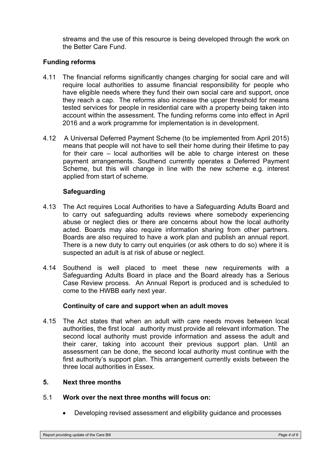streams and the use of this resource is being developed through the work on the Better Care Fund.

# **Funding reforms**

- 4.11 The financial reforms significantly changes charging for social care and will require local authorities to assume financial responsibility for people who have eligible needs where they fund their own social care and support, once they reach a cap. The reforms also increase the upper threshold for means tested services for people in residential care with a property being taken into account within the assessment. The funding reforms come into effect in April 2016 and a work programme for implementation is in development.
- 4.12 A Universal Deferred Payment Scheme (to be implemented from April 2015) means that people will not have to sell their home during their lifetime to pay for their care – local authorities will be able to charge interest on these payment arrangements. Southend currently operates a Deferred Payment Scheme, but this will change in line with the new scheme e.g. interest applied from start of scheme.

# **Safeguarding**

- 4.13 The Act requires Local Authorities to have a Safeguarding Adults Board and to carry out safeguarding adults reviews where somebody experiencing abuse or neglect dies or there are concerns about how the local authority acted. Boards may also require information sharing from other partners. Boards are also required to have a work plan and publish an annual report. There is a new duty to carry out enquiries (or ask others to do so) where it is suspected an adult is at risk of abuse or neglect.
- 4.14 Southend is well placed to meet these new requirements with a Safeguarding Adults Board in place and the Board already has a Serious Case Review process. An Annual Report is produced and is scheduled to come to the HWBB early next year.

#### **Continuity of care and support when an adult moves**

4.15The Act states that when an adult with care needs moves between local authorities, the first local authority must provide all relevant information. The second local authority must provide information and assess the adult and their carer, taking into account their previous support plan. Until an assessment can be done, the second local authority must continue with the first authority's support plan. This arrangement currently exists between the three local authorities in Essex.

#### **5. Next three months**

- 5.1 **Work over the next three months will focus on:**
	- Developing revised assessment and eligibility guidance and processes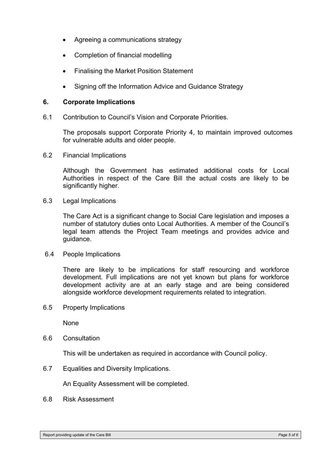- Agreeing a communications strategy
- Completion of financial modelling
- Finalising the Market Position Statement
- Signing off the Information Advice and Guidance Strategy

#### **6. Corporate Implications**

6.1 Contribution to Council's Vision and Corporate Priorities.

The proposals support Corporate Priority 4, to maintain improved outcomes for vulnerable adults and older people.

6.2 Financial Implications

Although the Government has estimated additional costs for Local Authorities in respect of the Care Bill the actual costs are likely to be significantly higher.

6.3 Legal Implications

The Care Act is a significant change to Social Care legislation and imposes a number of statutory duties onto Local Authorities. A member of the Council's legal team attends the Project Team meetings and provides advice and guidance.

6.4 People Implications

There are likely to be implications for staff resourcing and workforce development. Full implications are not yet known but plans for workforce development activity are at an early stage and are being considered alongside workforce development requirements related to integration.

6.5 Property Implications

None

6.6 Consultation

This will be undertaken as required in accordance with Council policy.

6.7 Equalities and Diversity Implications.

An Equality Assessment will be completed.

6.8 Risk Assessment